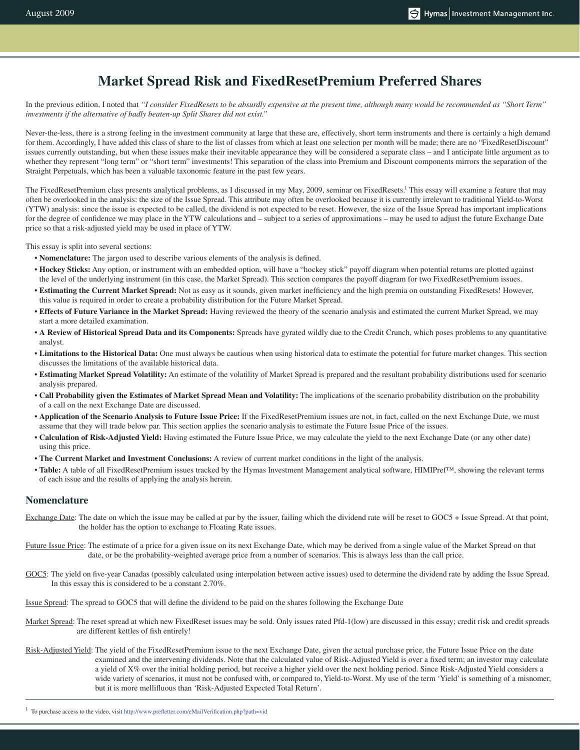# **Market Spread Risk and FixedResetPremium Preferred Shares**

In the previous edition, I noted that *"I consider FixedResets to be absurdly expensive at the present time, although many would be recommended as "Short Term" investments if the alternative of badly beaten-up Split Shares did not exist."*

Never-the-less, there is a strong feeling in the investment community at large that these are, effectively, short term instruments and there is certainly a high demand for them. Accordingly, I have added this class of share to the list of classes from which at least one selection per month will be made; there are no "FixedResetDiscount" issues currently outstanding, but when these issues make their inevitable appearance they will be considered a separate class – and I anticipate little argument as to whether they represent "long term" or "short term" investments! This separation of the class into Premium and Discount components mirrors the separation of the Straight Perpetuals, which has been a valuable taxonomic feature in the past few years.

The FixedResetPremium class presents analytical problems, as I discussed in my May, 2009, seminar on FixedResets.<sup>1</sup> This essay will examine a feature that may often be overlooked in the analysis: the size of the Issue Spread. This attribute may often be overlooked because it is currently irrelevant to traditional Yield-to-Worst (YTW) analysis: since the issue is expected to be called, the dividend is not expected to be reset. However, the size of the Issue Spread has important implications for the degree of confidence we may place in the YTW calculations and – subject to a series of approximations – may be used to adjust the future Exchange Date price so that a risk-adjusted yield may be used in place of YTW.

This essay is split into several sections:

- **Nomenclature:** The jargon used to describe various elements of the analysis is defined.
- **Hockey Sticks:** Any option, or instrument with an embedded option, will have a "hockey stick" payoff diagram when potential returns are plotted against the level of the underlying instrument (in this case, the Market Spread). This section compares the payoff diagram for two FixedResetPremium issues.
- **Estimating the Current Market Spread:** Not as easy as it sounds, given market inefficiency and the high premia on outstanding FixedResets! However, this value is required in order to create a probability distribution for the Future Market Spread.
- **Effects of Future Variance in the Market Spread:** Having reviewed the theory of the scenario analysis and estimated the current Market Spread, we may start a more detailed examination.
- **A Review of Historical Spread Data and its Components:** Spreads have gyrated wildly due to the Credit Crunch, which poses problems to any quantitative analyst.
- **Limitations to the Historical Data:** One must always be cautious when using historical data to estimate the potential for future market changes. This section discusses the limitations of the available historical data.
- **Estimating Market Spread Volatility:** An estimate of the volatility of Market Spread is prepared and the resultant probability distributions used for scenario analysis prepared.
- **Call Probability given the Estimates of Market Spread Mean and Volatility:** The implications of the scenario probability distribution on the probability of a call on the next Exchange Date are discussed.
- **Application of the Scenario Analysis to Future Issue Price:** If the FixedResetPremium issues are not, in fact, called on the next Exchange Date, we must assume that they will trade below par. This section applies the scenario analysis to estimate the Future Issue Price of the issues.
- **Calculation of Risk-Adjusted Yield:** Having estimated the Future Issue Price, we may calculate the yield to the next Exchange Date (or any other date) using this price.
- **The Current Market and Investment Conclusions:** A review of current market conditions in the light of the analysis.
- **Table:** A table of all FixedResetPremium issues tracked by the Hymas Investment Management analytical software, HIMIPref™, showing the relevant terms of each issue and the results of applying the analysis herein.

# **Nomenclature**

- Exchange Date: The date on which the issue may be called at par by the issuer, failing which the dividend rate will be reset to GOC5 + Issue Spread. At that point, the holder has the option to exchange to Floating Rate issues.
- Future Issue Price: The estimate of a price for a given issue on its next Exchange Date, which may be derived from a single value of the Market Spread on that date, or be the probability-weighted average price from a number of scenarios. This is always less than the call price.
- GOC5: The yield on five-year Canadas (possibly calculated using interpolation between active issues) used to determine the dividend rate by adding the Issue Spread. In this essay this is considered to be a constant 2.70%.

Issue Spread: The spread to GOC5 that will define the dividend to be paid on the shares following the Exchange Date

- Market Spread: The reset spread at which new FixedReset issues may be sold. Only issues rated Pfd-1(low) are discussed in this essay; credit risk and credit spreads are different kettles of fish entirely!
- Risk-Adjusted Yield: The yield of the FixedResetPremium issue to the next Exchange Date, given the actual purchase price, the Future Issue Price on the date examined and the intervening dividends. Note that the calculated value of Risk-Adjusted Yield is over a fixed term; an investor may calculate a yield of X% over the initial holding period, but receive a higher yield over the next holding period. Since Risk-Adjusted Yield considers a wide variety of scenarios, it must not be confused with, or compared to, Yield-to-Worst. My use of the term 'Yield' is something of a misnomer, but it is more mellifluous than 'Risk-Adjusted Expected Total Return'.

<sup>&</sup>lt;sup>1</sup> To purchase access to the video, visit http://www.prefletter.com/eMailVerification.php?path=vid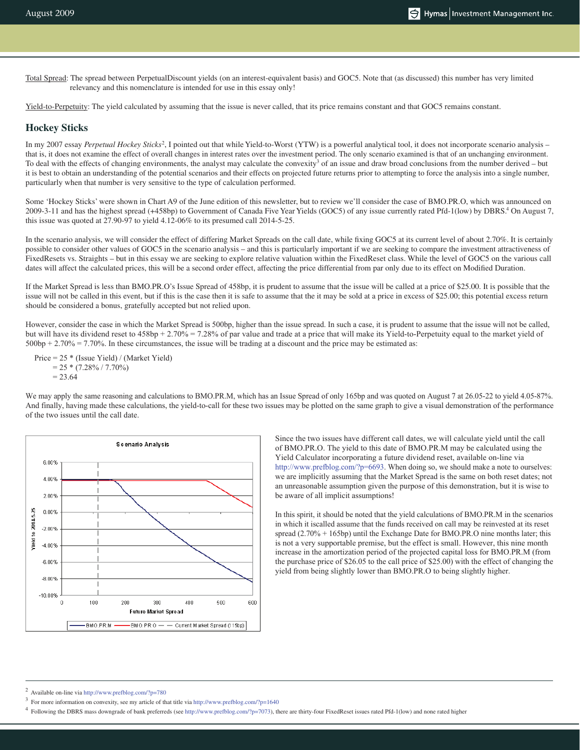Total Spread: The spread between PerpetualDiscount yields (on an interest-equivalent basis) and GOC5. Note that (as discussed) this number has very limited relevancy and this nomenclature is intended for use in this essay only!

Yield-to-Perpetuity: The yield calculated by assuming that the issue is never called, that its price remains constant and that GOC5 remains constant.

# **Hockey Sticks**

In my 2007 essay *Perpetual Hockey Sticks*<sup>2</sup>, I pointed out that while Yield-to-Worst (YTW) is a powerful analytical tool, it does not incorporate scenario analysis – that is, it does not examine the effect of overall changes in interest rates over the investment period. The only scenario examined is that of an unchanging environment. To deal with the effects of changing environments, the analyst may calculate the convexity<sup>3</sup> of an issue and draw broad conclusions from the number derived  $-$  but it is best to obtain an understanding of the potential scenarios and their effects on projected future returns prior to attempting to force the analysis into a single number, particularly when that number is very sensitive to the type of calculation performed.

Some 'Hockey Sticks' were shown in Chart A9 of the June edition of this newsletter, but to review we'll consider the case of BMO.PR.O, which was announced on 2009-3-11 and has the highest spread (+458bp) to Government of Canada Five Year Yields (GOC5) of any issue currently rated Pfd-1(low) by DBRS.<sup>4</sup> On August 7, this issue was quoted at 27.90-97 to yield 4.12-06% to its presumed call 2014-5-25.

In the scenario analysis, we will consider the effect of differing Market Spreads on the call date, while fixing GOC5 at its current level of about 2.70%. It is certainly possible to consider other values of GOC5 in the scenario analysis – and this is particularly important if we are seeking to compare the investment attractiveness of FixedResets vs. Straights – but in this essay we are seeking to explore relative valuation within the FixedReset class. While the level of GOC5 on the various call dates will affect the calculated prices, this will be a second order effect, affecting the price differential from par only due to its effect on Modified Duration.

If the Market Spread is less than BMO.PR.O's Issue Spread of 458bp, it is prudent to assume that the issue will be called at a price of \$25.00. It is possible that the issue will not be called in this event, but if this is the case then it is safe to assume that the it may be sold at a price in excess of \$25.00; this potential excess return should be considered a bonus, gratefully accepted but not relied upon.

However, consider the case in which the Market Spread is 500bp, higher than the issue spread. In such a case, it is prudent to assume that the issue will not be called, but will have its dividend reset to 458bp + 2.70% = 7.28% of par value and trade at a price that will make its Yield-to-Perpetuity equal to the market yield of  $500bp + 2.70\% = 7.70\%$ . In these circumstances, the issue will be trading at a discount and the price may be estimated as:

Price = 25 \* (Issue Yield) / (Market Yield)  $= 25 * (7.28\% / 7.70\%)$  $= 23.64$ 

We may apply the same reasoning and calculations to BMO.PR.M, which has an Issue Spread of only 165bp and was quoted on August 7 at 26.05-22 to yield 4.05-87%. And finally, having made these calculations, the yield-to-call for these two issues may be plotted on the same graph to give a visual demonstration of the performance of the two issues until the call date.



Since the two issues have different call dates, we will calculate yield until the call of BMO.PR.O. The yield to this date of BMO.PR.M may be calculated using the Yield Calculator incorporating a future dividend reset, available on-line via http://www.prefblog.com/?p=6693. When doing so, we should make a note to ourselves: we are implicitly assuming that the Market Spread is the same on both reset dates; not an unreasonable assumption given the purpose of this demonstration, but it is wise to be aware of all implicit assumptions!

In this spirit, it should be noted that the yield calculations of BMO.PR.M in the scenarios in which it iscalled assume that the funds received on call may be reinvested at its reset spread (2.70% + 165bp) until the Exchange Date for BMO.PR.O nine months later; this is not a very supportable premise, but the effect is small. However, this nine month increase in the amortization period of the projected capital loss for BMO.PR.M (from the purchase price of \$26.05 to the call price of \$25.00) with the effect of changing the yield from being slightly lower than BMO.PR.O to being slightly higher.

<sup>2</sup> Available on-line via http://www.prefblog.com/?p=780

<sup>&</sup>lt;sup>3</sup> For more information on convexity, see my article of that title via http://www.prefblog.com/?p=1640

<sup>4</sup> Following the DBRS mass downgrade of bank preferreds (see http://www.prefblog.com/?p=7073), there are thirty-four FixedReset issues rated Pfd-1(low) and none rated higher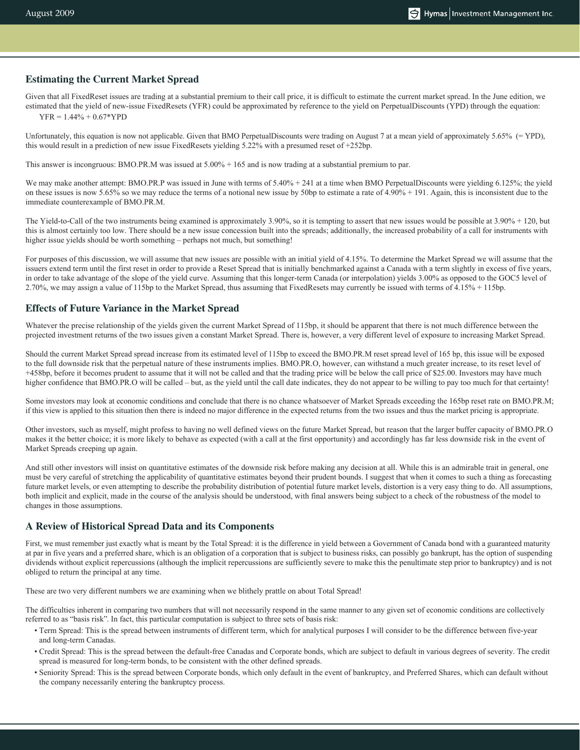## **Estimating the Current Market Spread**

Given that all FixedReset issues are trading at a substantial premium to their call price, it is difficult to estimate the current market spread. In the June edition, we estimated that the yield of new-issue FixedResets (YFR) could be approximated by reference to the yield on PerpetualDiscounts (YPD) through the equation:

 $YFR = 1.44\% + 0.67*YPD$ 

Unfortunately, this equation is now not applicable. Given that BMO PerpetualDiscounts were trading on August 7 at a mean yield of approximately 5.65% (= YPD), this would result in a prediction of new issue FixedResets yielding 5.22% with a presumed reset of +252bp.

This answer is incongruous: BMO.PR.M was issued at 5.00% + 165 and is now trading at a substantial premium to par.

We may make another attempt: BMO.PR.P was issued in June with terms of 5.40% + 241 at a time when BMO PerpetualDiscounts were yielding 6.125%; the yield on these issues is now 5.65% so we may reduce the terms of a notional new issue by 50bp to estimate a rate of 4.90% + 191. Again, this is inconsistent due to the immediate counterexample of BMO.PR.M.

The Yield-to-Call of the two instruments being examined is approximately 3.90%, so it is tempting to assert that new issues would be possible at 3.90% + 120, but this is almost certainly too low. There should be a new issue concession built into the spreads; additionally, the increased probability of a call for instruments with higher issue yields should be worth something – perhaps not much, but something!

For purposes of this discussion, we will assume that new issues are possible with an initial yield of 4.15%. To determine the Market Spread we will assume that the issuers extend term until the first reset in order to provide a Reset Spread that is initially benchmarked against a Canada with a term slightly in excess of five years, in order to take advantage of the slope of the yield curve. Assuming that this longer-term Canada (or interpolation) yields 3.00% as opposed to the GOC5 level of 2.70%, we may assign a value of 115bp to the Market Spread, thus assuming that FixedResets may currently be issued with terms of 4.15% + 115bp.

# **Effects of Future Variance in the Market Spread**

Whatever the precise relationship of the yields given the current Market Spread of 115bp, it should be apparent that there is not much difference between the projected investment returns of the two issues given a constant Market Spread. There is, however, a very different level of exposure to increasing Market Spread.

Should the current Market Spread spread increase from its estimated level of 115bp to exceed the BMO.PR.M reset spread level of 165 bp, this issue will be exposed to the full downside risk that the perpetual nature of these instruments implies. BMO.PR.O, however, can withstand a much greater increase, to its reset level of +458bp, before it becomes prudent to assume that it will not be called and that the trading price will be below the call price of \$25.00. Investors may have much higher confidence that BMO.PR.O will be called – but, as the yield until the call date indicates, they do not appear to be willing to pay too much for that certainty!

Some investors may look at economic conditions and conclude that there is no chance whatsoever of Market Spreads exceeding the 165bp reset rate on BMO.PR.M; if this view is applied to this situation then there is indeed no major difference in the expected returns from the two issues and thus the market pricing is appropriate.

Other investors, such as myself, might profess to having no well defined views on the future Market Spread, but reason that the larger buffer capacity of BMO.PR.O makes it the better choice; it is more likely to behave as expected (with a call at the first opportunity) and accordingly has far less downside risk in the event of Market Spreads creeping up again.

And still other investors will insist on quantitative estimates of the downside risk before making any decision at all. While this is an admirable trait in general, one must be very careful of stretching the applicability of quantitative estimates beyond their prudent bounds. I suggest that when it comes to such a thing as forecasting future market levels, or even attempting to describe the probability distribution of potential future market levels, distortion is a very easy thing to do. All assumptions, both implicit and explicit, made in the course of the analysis should be understood, with final answers being subject to a check of the robustness of the model to changes in those assumptions.

# **A Review of Historical Spread Data and its Components**

First, we must remember just exactly what is meant by the Total Spread: it is the difference in yield between a Government of Canada bond with a guaranteed maturity at par in five years and a preferred share, which is an obligation of a corporation that is subject to business risks, can possibly go bankrupt, has the option of suspending dividends without explicit repercussions (although the implicit repercussions are sufficiently severe to make this the penultimate step prior to bankruptcy) and is not obliged to return the principal at any time.

These are two very different numbers we are examining when we blithely prattle on about Total Spread!

The difficulties inherent in comparing two numbers that will not necessarily respond in the same manner to any given set of economic conditions are collectively referred to as "basis risk". In fact, this particular computation is subject to three sets of basis risk:

- Term Spread: This is the spread between instruments of different term, which for analytical purposes I will consider to be the difference between five-year and long-term Canadas.
- Credit Spread: This is the spread between the default-free Canadas and Corporate bonds, which are subject to default in various degrees of severity. The credit spread is measured for long-term bonds, to be consistent with the other defined spreads.
- Seniority Spread: This is the spread between Corporate bonds, which only default in the event of bankruptcy, and Preferred Shares, which can default without the company necessarily entering the bankruptcy process.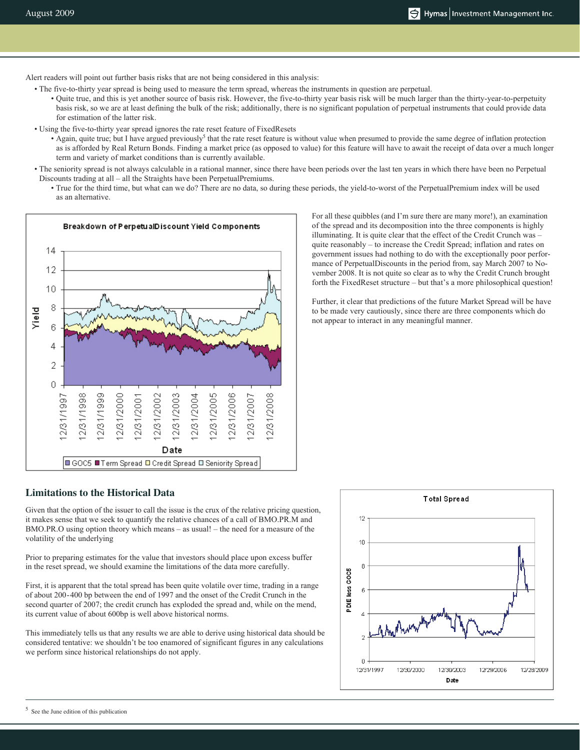Alert readers will point out further basis risks that are not being considered in this analysis:

• The five-to-thirty year spread is being used to measure the term spread, whereas the instruments in question are perpetual.

• Quite true, and this is yet another source of basis risk. However, the five-to-thirty year basis risk will be much larger than the thirty-year-to-perpetuity basis risk, so we are at least defining the bulk of the risk; additionally, there is no significant population of perpetual instruments that could provide data for estimation of the latter risk.

- Using the five-to-thirty year spread ignores the rate reset feature of FixedResets
	- Again, quite true; but I have argued previously<sup>5</sup> that the rate reset feature is without value when presumed to provide the same degree of inflation protection as is afforded by Real Return Bonds. Finding a market price (as opposed to value) for this feature will have to await the receipt of data over a much longer term and variety of market conditions than is currently available.
- The seniority spread is not always calculable in a rational manner, since there have been periods over the last ten years in which there have been no Perpetual Discounts trading at all – all the Straights have been PerpetualPremiums.
	- True for the third time, but what can we do? There are no data, so during these periods, the yield-to-worst of the PerpetualPremium index will be used as an alternative.



For all these quibbles (and I'm sure there are many more!), an examination of the spread and its decomposition into the three components is highly illuminating. It is quite clear that the effect of the Credit Crunch was – quite reasonably – to increase the Credit Spread; inflation and rates on government issues had nothing to do with the exceptionally poor performance of PerpetualDiscounts in the period from, say March 2007 to November 2008. It is not quite so clear as to why the Credit Crunch brought forth the FixedReset structure – but that's a more philosophical question!

Further, it clear that predictions of the future Market Spread will be have to be made very cautiously, since there are three components which do not appear to interact in any meaningful manner.

# **Limitations to the Historical Data**

Given that the option of the issuer to call the issue is the crux of the relative pricing question, it makes sense that we seek to quantify the relative chances of a call of BMO.PR.M and BMO.PR.O using option theory which means – as usual! – the need for a measure of the volatility of the underlying

Prior to preparing estimates for the value that investors should place upon excess buffer in the reset spread, we should examine the limitations of the data more carefully.

First, it is apparent that the total spread has been quite volatile over time, trading in a range of about 200-400 bp between the end of 1997 and the onset of the Credit Crunch in the second quarter of 2007; the credit crunch has exploded the spread and, while on the mend, its current value of about 600bp is well above historical norms.

This immediately tells us that any results we are able to derive using historical data should be considered tentative: we shouldn't be too enamored of significant figures in any calculations we perform since historical relationships do not apply.



5 See the June edition of this publication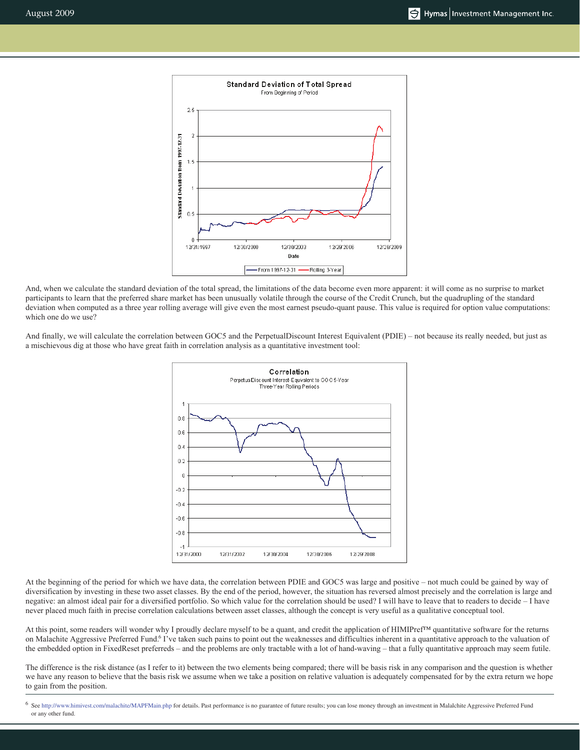

And, when we calculate the standard deviation of the total spread, the limitations of the data become even more apparent: it will come as no surprise to market participants to learn that the preferred share market has been unusually volatile through the course of the Credit Crunch, but the quadrupling of the standard deviation when computed as a three year rolling average will give even the most earnest pseudo-quant pause. This value is required for option value computations: which one do we use?

And finally, we will calculate the correlation between GOC5 and the PerpetualDiscount Interest Equivalent (PDIE) – not because its really needed, but just as a mischievous dig at those who have great faith in correlation analysis as a quantitative investment tool:



At the beginning of the period for which we have data, the correlation between PDIE and GOC5 was large and positive – not much could be gained by way of diversification by investing in these two asset classes. By the end of the period, however, the situation has reversed almost precisely and the correlation is large and negative: an almost ideal pair for a diversified portfolio. So which value for the correlation should be used? I will have to leave that to readers to decide – I have never placed much faith in precise correlation calculations between asset classes, although the concept is very useful as a qualitative conceptual tool.

At this point, some readers will wonder why I proudly declare myself to be a quant, and credit the application of HIMIPref™ quantitative software for the returns on Malachite Aggressive Preferred Fund.<sup>6</sup> I've taken such pains to point out the weaknesses and difficulties inherent in a quantitative approach to the valuation of the embedded option in FixedReset preferreds – and the problems are only tractable with a lot of hand-waving – that a fully quantitative approach may seem futile.

The difference is the risk distance (as I refer to it) between the two elements being compared; there will be basis risk in any comparison and the question is whether we have any reason to believe that the basis risk we assume when we take a position on relative valuation is adequately compensated for by the extra return we hope to gain from the position.

6 See http://www.himivest.com/malachite/MAPFMain.php for details. Past performance is no guarantee of future results; you can lose money through an investment in Malalchite Aggressive Preferred Fund or any other fund.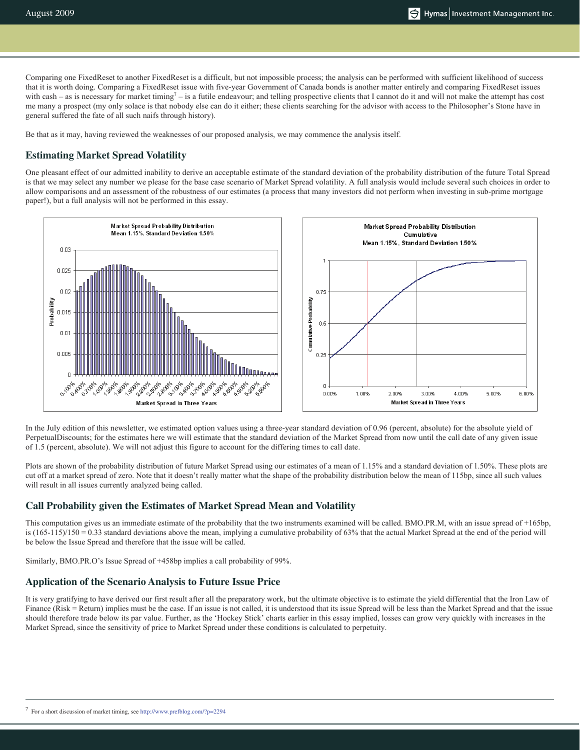Comparing one FixedReset to another FixedReset is a difficult, but not impossible process; the analysis can be performed with sufficient likelihood of success that it is worth doing. Comparing a FixedReset issue with five-year Government of Canada bonds is another matter entirely and comparing FixedReset issues with cash – as is necessary for market timing<sup>7</sup> – is a futile endeavour; and telling prospective clients that I cannot do it and will not make the attempt has cost me many a prospect (my only solace is that nobody else can do it either; these clients searching for the advisor with access to the Philosopher's Stone have in general suffered the fate of all such naifs through history).

Be that as it may, having reviewed the weaknesses of our proposed analysis, we may commence the analysis itself.

# **Estimating Market Spread Volatility**

One pleasant effect of our admitted inability to derive an acceptable estimate of the standard deviation of the probability distribution of the future Total Spread is that we may select any number we please for the base case scenario of Market Spread volatility. A full analysis would include several such choices in order to allow comparisons and an assessment of the robustness of our estimates (a process that many investors did not perform when investing in sub-prime mortgage paper!), but a full analysis will not be performed in this essay.



In the July edition of this newsletter, we estimated option values using a three-year standard deviation of 0.96 (percent, absolute) for the absolute yield of PerpetualDiscounts; for the estimates here we will estimate that the standard deviation of the Market Spread from now until the call date of any given issue of 1.5 (percent, absolute). We will not adjust this figure to account for the differing times to call date.

Plots are shown of the probability distribution of future Market Spread using our estimates of a mean of 1.15% and a standard deviation of 1.50%. These plots are cut off at a market spread of zero. Note that it doesn't really matter what the shape of the probability distribution below the mean of 115bp, since all such values will result in all issues currently analyzed being called.

## **Call Probability given the Estimates of Market Spread Mean and Volatility**

This computation gives us an immediate estimate of the probability that the two instruments examined will be called. BMO.PR.M, with an issue spread of +165bp, is  $(165-115)/150 = 0.33$  standard deviations above the mean, implying a cumulative probability of 63% that the actual Market Spread at the end of the period will be below the Issue Spread and therefore that the issue will be called.

Similarly, BMO.PR.O's Issue Spread of +458bp implies a call probability of 99%.

#### **Application of the Scenario Analysis to Future Issue Price**

It is very gratifying to have derived our first result after all the preparatory work, but the ultimate objective is to estimate the yield differential that the Iron Law of Finance (Risk = Return) implies must be the case. If an issue is not called, it is understood that its issue Spread will be less than the Market Spread and that the issue should therefore trade below its par value. Further, as the 'Hockey Stick' charts earlier in this essay implied, losses can grow very quickly with increases in the Market Spread, since the sensitivity of price to Market Spread under these conditions is calculated to perpetuity.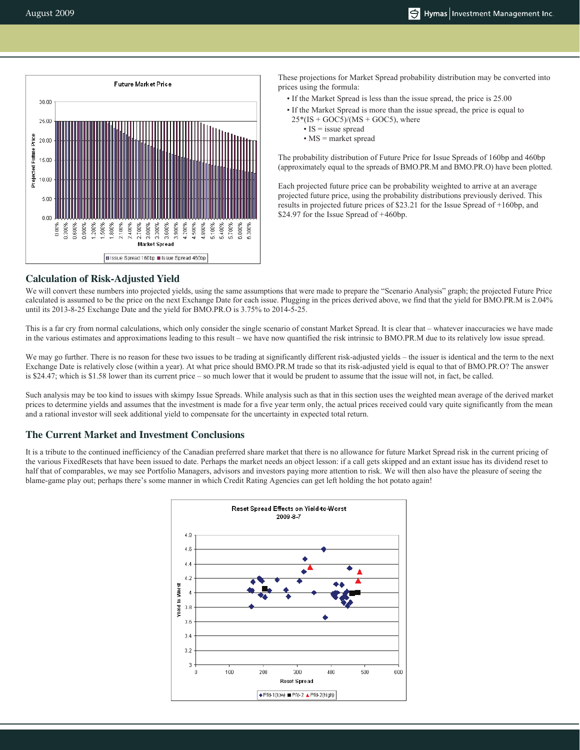

These projections for Market Spread probability distribution may be converted into prices using the formula:

- If the Market Spread is less than the issue spread, the price is 25.00
- If the Market Spread is more than the issue spread, the price is equal to  $25*(IS + GOC5)/(MS + GOC5)$ , where
	- IS  $=$  issue spread
	- MS = market spread

The probability distribution of Future Price for Issue Spreads of 160bp and 460bp (approximately equal to the spreads of BMO.PR.M and BMO.PR.O) have been plotted.

Each projected future price can be probability weighted to arrive at an average projected future price, using the probability distributions previously derived. This results in projected future prices of \$23.21 for the Issue Spread of +160bp, and \$24.97 for the Issue Spread of +460bp.

#### **Calculation of Risk-Adjusted Yield**

We will convert these numbers into projected yields, using the same assumptions that were made to prepare the "Scenario Analysis" graph; the projected Future Price calculated is assumed to be the price on the next Exchange Date for each issue. Plugging in the prices derived above, we find that the yield for BMO.PR.M is 2.04% until its 2013-8-25 Exchange Date and the yield for BMO.PR.O is 3.75% to 2014-5-25.

This is a far cry from normal calculations, which only consider the single scenario of constant Market Spread. It is clear that – whatever inaccuracies we have made in the various estimates and approximations leading to this result – we have now quantified the risk intrinsic to BMO.PR.M due to its relatively low issue spread.

We may go further. There is no reason for these two issues to be trading at significantly different risk-adjusted yields – the issuer is identical and the term to the next Exchange Date is relatively close (within a year). At what price should BMO.PR.M trade so that its risk-adjusted yield is equal to that of BMO.PR.O? The answer is \$24.47; which is \$1.58 lower than its current price – so much lower that it would be prudent to assume that the issue will not, in fact, be called.

Such analysis may be too kind to issues with skimpy Issue Spreads. While analysis such as that in this section uses the weighted mean average of the derived market prices to determine yields and assumes that the investment is made for a five year term only, the actual prices received could vary quite significantly from the mean and a rational investor will seek additional yield to compensate for the uncertainty in expected total return.

## **The Current Market and Investment Conclusions**

It is a tribute to the continued inefficiency of the Canadian preferred share market that there is no allowance for future Market Spread risk in the current pricing of the various FixedResets that have been issued to date. Perhaps the market needs an object lesson: if a call gets skipped and an extant issue has its dividend reset to half that of comparables, we may see Portfolio Managers, advisors and investors paying more attention to risk. We will then also have the pleasure of seeing the blame-game play out; perhaps there's some manner in which Credit Rating Agencies can get left holding the hot potato again!

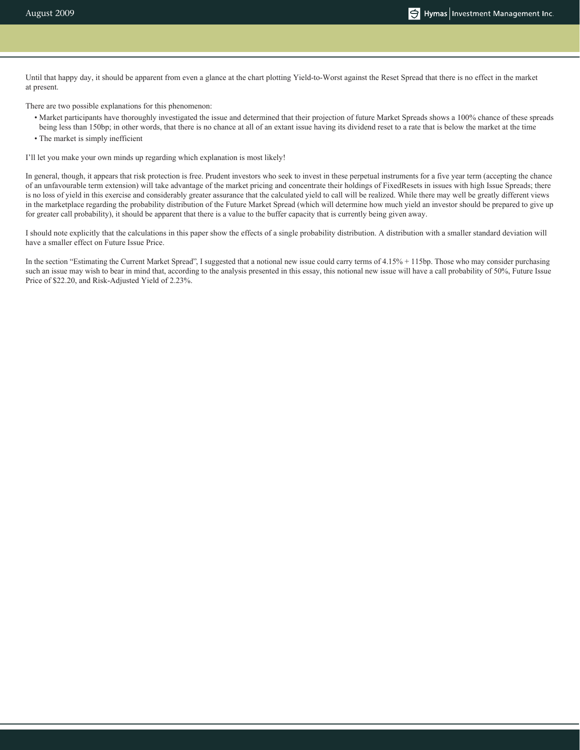Until that happy day, it should be apparent from even a glance at the chart plotting Yield-to-Worst against the Reset Spread that there is no effect in the market at present.

There are two possible explanations for this phenomenon:

- Market participants have thoroughly investigated the issue and determined that their projection of future Market Spreads shows a 100% chance of these spreads being less than 150bp; in other words, that there is no chance at all of an extant issue having its dividend reset to a rate that is below the market at the time
- The market is simply inefficient

I'll let you make your own minds up regarding which explanation is most likely!

In general, though, it appears that risk protection is free. Prudent investors who seek to invest in these perpetual instruments for a five year term (accepting the chance of an unfavourable term extension) will take advantage of the market pricing and concentrate their holdings of FixedResets in issues with high Issue Spreads; there is no loss of yield in this exercise and considerably greater assurance that the calculated yield to call will be realized. While there may well be greatly different views in the marketplace regarding the probability distribution of the Future Market Spread (which will determine how much yield an investor should be prepared to give up for greater call probability), it should be apparent that there is a value to the buffer capacity that is currently being given away.

I should note explicitly that the calculations in this paper show the effects of a single probability distribution. A distribution with a smaller standard deviation will have a smaller effect on Future Issue Price.

In the section "Estimating the Current Market Spread", I suggested that a notional new issue could carry terms of 4.15% + 115bp. Those who may consider purchasing such an issue may wish to bear in mind that, according to the analysis presented in this essay, this notional new issue will have a call probability of 50%, Future Issue Price of \$22.20, and Risk-Adjusted Yield of 2.23%.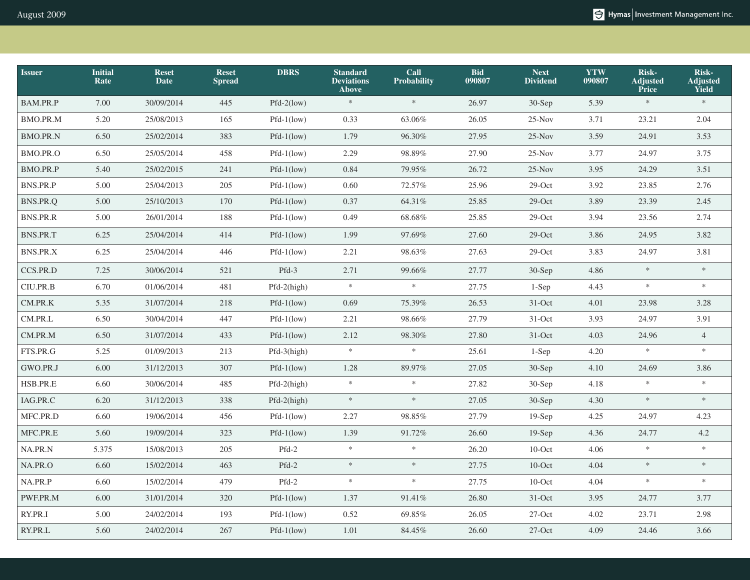| <b>Issuer</b>   | <b>Initial</b><br>Rate | <b>Reset</b><br><b>Date</b> | <b>Reset</b><br><b>Spread</b> | <b>DBRS</b>   | <b>Standard</b><br><b>Deviations</b><br><b>Above</b> | Call<br><b>Probability</b> | <b>Bid</b><br>090807 | <b>Next</b><br><b>Dividend</b> | <b>YTW</b><br>090807 | Risk-<br><b>Adjusted</b><br>Price | Risk-<br><b>Adjusted</b><br>Yield |
|-----------------|------------------------|-----------------------------|-------------------------------|---------------|------------------------------------------------------|----------------------------|----------------------|--------------------------------|----------------------|-----------------------------------|-----------------------------------|
| BAM.PR.P        | 7.00                   | 30/09/2014                  | 445                           | $Pfd-2(low)$  | $\approx$                                            | $\ast$                     | 26.97                | $30-Sep$                       | 5.39                 | $\approx$                         | $\ast$                            |
| <b>BMO.PR.M</b> | 5.20                   | 25/08/2013                  | 165                           | $Pfd-1(low)$  | 0.33                                                 | 63.06%                     | 26.05                | $25-Nov$                       | 3.71                 | 23.21                             | 2.04                              |
| <b>BMO.PR.N</b> | 6.50                   | 25/02/2014                  | 383                           | $Pfd-1(low)$  | 1.79                                                 | 96.30%                     | 27.95                | $25-Nov$                       | 3.59                 | 24.91                             | 3.53                              |
| BMO.PR.O        | 6.50                   | 25/05/2014                  | 458                           | $Pfd-1(low)$  | 2.29                                                 | 98.89%                     | 27.90                | $25-Nov$                       | 3.77                 | 24.97                             | 3.75                              |
| BMO.PR.P        | 5.40                   | 25/02/2015                  | $241\,$                       | $Pfd-1(low)$  | 0.84                                                 | 79.95%                     | 26.72                | $25-Nov$                       | 3.95                 | 24.29                             | 3.51                              |
| BNS.PR.P        | 5.00                   | 25/04/2013                  | 205                           | $Pfd-1(low)$  | 0.60                                                 | 72.57%                     | 25.96                | $29$ -Oct                      | 3.92                 | 23.85                             | 2.76                              |
| BNS.PR.Q        | 5.00                   | 25/10/2013                  | 170                           | $Pfd-1(low)$  | 0.37                                                 | 64.31%                     | 25.85                | $29$ -Oct                      | 3.89                 | 23.39                             | 2.45                              |
| <b>BNS.PR.R</b> | 5.00                   | 26/01/2014                  | 188                           | $Pfd-1(low)$  | 0.49                                                 | 68.68%                     | 25.85                | $29$ -Oct                      | 3.94                 | 23.56                             | 2.74                              |
| <b>BNS.PR.T</b> | 6.25                   | 25/04/2014                  | 414                           | $Pfd-1$ (low) | 1.99                                                 | 97.69%                     | 27.60                | $29$ -Oct                      | 3.86                 | 24.95                             | 3.82                              |
| BNS.PR.X        | 6.25                   | 25/04/2014                  | 446                           | $Pfd-1(low)$  | 2.21                                                 | 98.63%                     | 27.63                | $29$ -Oct                      | 3.83                 | 24.97                             | 3.81                              |
| CCS.PR.D        | 7.25                   | 30/06/2014                  | 521                           | $Pfd-3$       | 2.71                                                 | 99.66%                     | 27.77                | $30-Sep$                       | 4.86                 | $\ast$                            | $\ast$                            |
| CIU.PR.B        | 6.70                   | 01/06/2014                  | 481                           | Pfd-2(high)   | $\ast$                                               | $\approx$                  | 27.75                | $1-Sep$                        | 4.43                 | $\approx$                         | $\ensuremath{\mathcal{H}}$        |
| $\,$ CM.PR.K    | 5.35                   | 31/07/2014                  | 218                           | $Pfd-1(low)$  | 0.69                                                 | 75.39%                     | 26.53                | 31-Oct                         | 4.01                 | 23.98                             | 3.28                              |
| CM.PR.L         | 6.50                   | 30/04/2014                  | 447                           | $Pfd-1(low)$  | 2.21                                                 | 98.66%                     | 27.79                | $31-Oct$                       | 3.93                 | 24.97                             | 3.91                              |
| CM.PR.M         | 6.50                   | 31/07/2014                  | 433                           | $Pfd-1(low)$  | 2.12                                                 | 98.30%                     | 27.80                | $31-Oct$                       | 4.03                 | 24.96                             | $\overline{4}$                    |
| FTS.PR.G        | 5.25                   | 01/09/2013                  | 213                           | Pfd-3(high)   | $\ast$                                               | $\approx$                  | 25.61                | $1-Sep$                        | 4.20                 | $\ast$                            | $\ast$                            |
| GWO.PR.J        | 6.00                   | 31/12/2013                  | 307                           | $Pfd-1(low)$  | 1.28                                                 | 89.97%                     | 27.05                | $30-Sep$                       | 4.10                 | 24.69                             | 3.86                              |
| HSB.PR.E        | 6.60                   | 30/06/2014                  | 485                           | $Pfd-2(high)$ | $\ast$                                               | $\ast$                     | 27.82                | 30-Sep                         | 4.18                 | $\gg$                             | $\approx$                         |
| IAG.PR.C        | 6.20                   | 31/12/2013                  | 338                           | $Pfd-2(high)$ | $\approx$                                            | $\gg$                      | 27.05                | $30-Sep$                       | 4.30                 | $\ast$                            | $\ast$                            |
| MFC.PR.D        | 6.60                   | 19/06/2014                  | 456                           | $Pfd-1(low)$  | 2.27                                                 | 98.85%                     | 27.79                | $19-$ Sep                      | 4.25                 | 24.97                             | 4.23                              |
| MFC.PR.E        | 5.60                   | 19/09/2014                  | 323                           | $Pfd-1(low)$  | 1.39                                                 | 91.72%                     | 26.60                | $19-Sep$                       | 4.36                 | 24.77                             | $4.2\,$                           |
| NA.PR.N         | 5.375                  | 15/08/2013                  | 205                           | Pfd-2         | $\approx$                                            | $\approx$                  | 26.20                | $10$ -Oct                      | 4.06                 | $\approx$                         | $\ast$                            |
| NA.PR.O         | 6.60                   | 15/02/2014                  | 463                           | $Pfd-2$       | $\approx$                                            | $\ast$                     | 27.75                | $10$ -Oct                      | 4.04                 | $\ast$                            | $\approx$                         |
| NA.PR.P         | 6.60                   | 15/02/2014                  | 479                           | $Pfd-2$       | $\approx$                                            | $\approx$                  | 27.75                | $10$ -Oct                      | 4.04                 | $\ast$                            | $\ast$                            |
| PWF.PR.M        | 6.00                   | 31/01/2014                  | 320                           | $Pfd-1(low)$  | 1.37                                                 | 91.41%                     | 26.80                | $31-Oct$                       | 3.95                 | 24.77                             | 3.77                              |
| RY.PR.I         | 5.00                   | 24/02/2014                  | 193                           | $Pfd-1(low)$  | 0.52                                                 | 69.85%                     | 26.05                | $27$ -Oct                      | 4.02                 | 23.71                             | 2.98                              |
| RY.PR.L         | 5.60                   | 24/02/2014                  | 267                           | $Pfd-1$ (low) | 1.01                                                 | $84.45\%$                  | 26.60                | $27$ -Oct                      | 4.09                 | 24.46                             | 3.66                              |